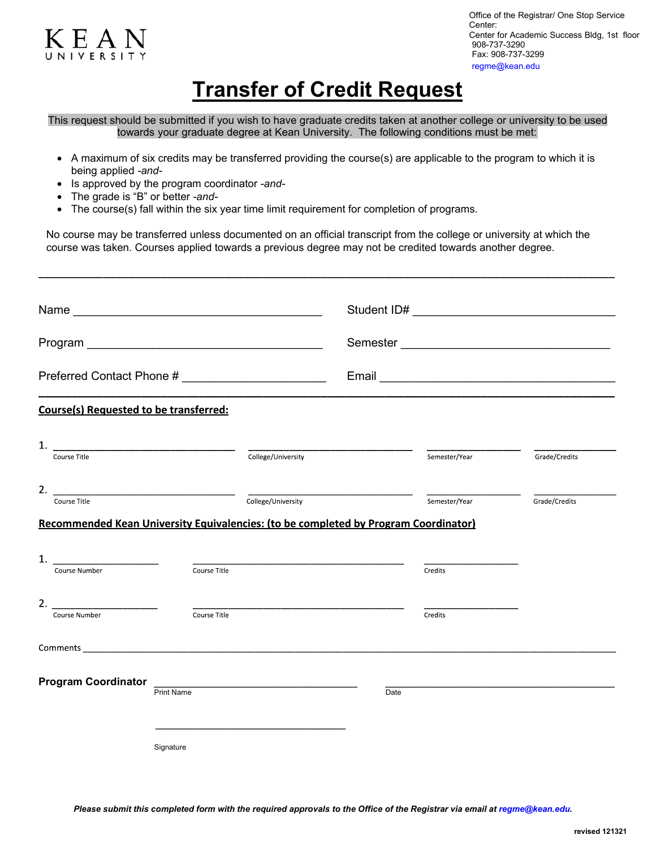

Office of the Registrar/ One Stop Service Center: Center for Academic Success Bldg, 1st floor 908-737-3290 Fax: 908-737-3299 regme@kean.edu

## **Transfer of Credit Request**

This request should be submitted if you wish to have graduate credits taken at another college or university to be used towards your graduate degree at Kean University. The following conditions must be met:

- A maximum of six credits may be transferred providing the course(s) are applicable to the program to which it is being applied *-and-*
- Is approved by the program coordinator *-and-*
- The grade is "B" or better *-and-*
- The course(s) fall within the six year time limit requirement for completion of programs.

No course may be transferred unless documented on an official transcript from the college or university at which the course was taken. Courses applied towards a previous degree may not be credited towards another degree.

|                                                                                                                                             |                                                                                          |                    | Semester |               |               |
|---------------------------------------------------------------------------------------------------------------------------------------------|------------------------------------------------------------------------------------------|--------------------|----------|---------------|---------------|
| Preferred Contact Phone # ____________________________                                                                                      |                                                                                          |                    |          |               |               |
| <b>Course(s) Requested to be transferred:</b>                                                                                               |                                                                                          |                    |          |               |               |
| Course Title                                                                                                                                |                                                                                          | College/University |          | Semester/Year | Grade/Credits |
| 2.<br>Course Title<br>Recommended Kean University Equivalencies: (to be completed by Program Coordinator)                                   |                                                                                          | College/University |          | Semester/Year | Grade/Credits |
| 1.<br><u> 1980 - Jan Stein Stein Stein Stein Stein Stein Stein Stein Stein Stein Stein Stein Stein Stein Stein Stein S</u><br>Course Number | Course Title                                                                             |                    |          | Credits       |               |
| 2.<br>Course Number                                                                                                                         | Course Title                                                                             |                    |          | Credits       |               |
| <b>Comments Comments</b>                                                                                                                    |                                                                                          |                    |          |               |               |
| <b>Program Coordinator</b>                                                                                                                  | the control of the control of the control of the control of the control of<br>Print Name |                    | Date     |               |               |
|                                                                                                                                             | Signature                                                                                |                    |          |               |               |